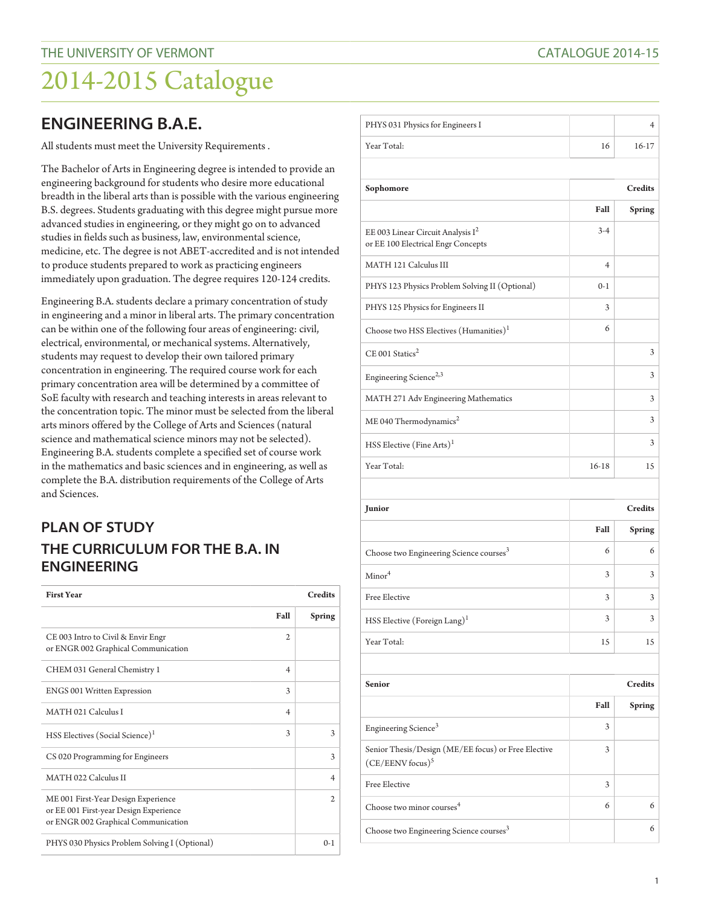## **ENGINEERING B.A.E.**

All students must meet the University Requirements .

The Bachelor of Arts in Engineering degree is intended to provide an engineering background for students who desire more educational breadth in the liberal arts than is possible with the various engineering B.S. degrees. Students graduating with this degree might pursue more advanced studies in engineering, or they might go on to advanced studies in fields such as business, law, environmental science, medicine, etc. The degree is not ABET-accredited and is not intended to produce students prepared to work as practicing engineers immediately upon graduation. The degree requires 120-124 credits.

Engineering B.A. students declare a primary concentration of study in engineering and a minor in liberal arts. The primary concentration can be within one of the following four areas of engineering: civil, electrical, environmental, or mechanical systems. Alternatively, students may request to develop their own tailored primary concentration in engineering. The required course work for each primary concentration area will be determined by a committee of SoE faculty with research and teaching interests in areas relevant to the concentration topic. The minor must be selected from the liberal arts minors offered by the College of Arts and Sciences (natural science and mathematical science minors may not be selected). Engineering B.A. students complete a specified set of course work in the mathematics and basic sciences and in engineering, as well as complete the B.A. distribution requirements of the College of Arts and Sciences.

## **PLAN OF STUDY THE CURRICULUM FOR THE B.A. IN ENGINEERING**

| <b>First Year</b>                                                                                                    | <b>Credits</b> |                |
|----------------------------------------------------------------------------------------------------------------------|----------------|----------------|
|                                                                                                                      | Fall           | <b>Spring</b>  |
| CE 003 Intro to Civil & Envir Engr<br>or ENGR 002 Graphical Communication                                            | $\mathfrak{2}$ |                |
| CHEM 031 General Chemistry 1                                                                                         | $\overline{4}$ |                |
| <b>ENGS 001 Written Expression</b>                                                                                   | 3              |                |
| MATH 021 Calculus I                                                                                                  | $\overline{4}$ |                |
| HSS Electives (Social Science) <sup>1</sup>                                                                          | 3              | 3              |
| CS 020 Programming for Engineers                                                                                     |                | 3              |
| MATH 022 Calculus II                                                                                                 |                | $\overline{4}$ |
| ME 001 First-Year Design Experience<br>or EE 001 First-year Design Experience<br>or ENGR 002 Graphical Communication |                | 2              |
| PHYS 030 Physics Problem Solving I (Optional)                                                                        |                | $0-1$          |

| PHYS 031 Physics for Engineers I                                                      |                |                |
|---------------------------------------------------------------------------------------|----------------|----------------|
|                                                                                       |                | 4              |
| Year Total:                                                                           | 16             | 16-17          |
|                                                                                       |                |                |
| Sophomore                                                                             | <b>Credits</b> |                |
|                                                                                       | Fall           | <b>Spring</b>  |
| EE 003 Linear Circuit Analysis I <sup>2</sup><br>or EE 100 Electrical Engr Concepts   | $3 - 4$        |                |
| MATH 121 Calculus III                                                                 | 4              |                |
| PHYS 123 Physics Problem Solving II (Optional)                                        | $0 - 1$        |                |
| PHYS 125 Physics for Engineers II                                                     | 3              |                |
| Choose two HSS Electives (Humanities) <sup>1</sup>                                    | 6              |                |
| $CE$ 001 Statics <sup>2</sup>                                                         |                | 3              |
| Engineering Science <sup>2,3</sup>                                                    |                | 3              |
| MATH 271 Adv Engineering Mathematics                                                  |                | 3              |
| ME 040 Thermodynamics <sup>2</sup>                                                    |                | 3              |
| HSS Elective (Fine Arts) <sup>1</sup>                                                 |                | 3              |
| Year Total:                                                                           | $16 - 18$      | 15             |
|                                                                                       |                |                |
| Junior                                                                                |                | <b>Credits</b> |
|                                                                                       | Fall           | <b>Spring</b>  |
|                                                                                       |                |                |
| Choose two Engineering Science courses <sup>3</sup>                                   | 6              | 6              |
| Minor <sup>4</sup>                                                                    | 3              | 3              |
| <b>Free Elective</b>                                                                  | 3              | 3              |
| HSS Elective (Foreign Lang) <sup>1</sup>                                              | 3              | 3              |
| Year Total:                                                                           | 15             | 15             |
|                                                                                       |                |                |
| <b>Senior</b>                                                                         |                | <b>Credits</b> |
|                                                                                       | Fall           | <b>Spring</b>  |
| Engineering Science <sup>3</sup>                                                      | 3              |                |
| Senior Thesis/Design (ME/EE focus) or Free Elective<br>$(CE/EENV$ focus) <sup>5</sup> | 3              |                |
| Free Elective                                                                         | 3              |                |
| Choose two minor courses <sup>4</sup>                                                 | 6              | 6              |